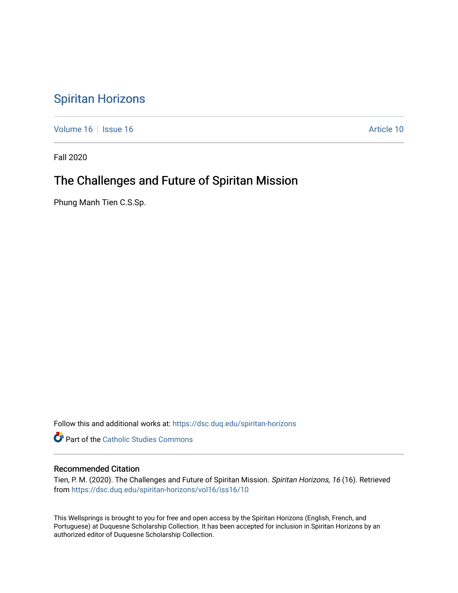## [Spiritan Horizons](https://dsc.duq.edu/spiritan-horizons)

[Volume 16](https://dsc.duq.edu/spiritan-horizons/vol16) | [Issue 16](https://dsc.duq.edu/spiritan-horizons/vol16/iss16) | Issue 16 | Issue 16 | Issue 16 | Issue 16 | Issue 16 | Issue 16 | Issue 16 | Issue 16 | Issue 16 | Issue 16 | Issue 16 | Issue 16 | Issue 16 | Issue 16 | Issue 16 | Issue 16 | Issue 16 | Issue 16 | I

Fall 2020

# The Challenges and Future of Spiritan Mission

Phung Manh Tien C.S.Sp.

Follow this and additional works at: [https://dsc.duq.edu/spiritan-horizons](https://dsc.duq.edu/spiritan-horizons?utm_source=dsc.duq.edu%2Fspiritan-horizons%2Fvol16%2Fiss16%2F10&utm_medium=PDF&utm_campaign=PDFCoverPages)

**Part of the [Catholic Studies Commons](http://network.bepress.com/hgg/discipline/1294?utm_source=dsc.duq.edu%2Fspiritan-horizons%2Fvol16%2Fiss16%2F10&utm_medium=PDF&utm_campaign=PDFCoverPages)** 

## Recommended Citation

Tien, P. M. (2020). The Challenges and Future of Spiritan Mission. Spiritan Horizons, 16 (16). Retrieved from [https://dsc.duq.edu/spiritan-horizons/vol16/iss16/10](https://dsc.duq.edu/spiritan-horizons/vol16/iss16/10?utm_source=dsc.duq.edu%2Fspiritan-horizons%2Fvol16%2Fiss16%2F10&utm_medium=PDF&utm_campaign=PDFCoverPages) 

This Wellsprings is brought to you for free and open access by the Spiritan Horizons (English, French, and Portuguese) at Duquesne Scholarship Collection. It has been accepted for inclusion in Spiritan Horizons by an authorized editor of Duquesne Scholarship Collection.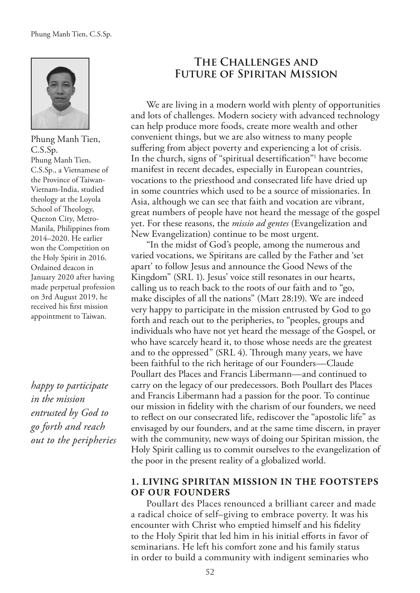

Phung Manh Tien, C.S.Sp. Phung Manh Tien, C.S.Sp., a Vietnamese of the Province of Taiwan-Vietnam-India, studied theology at the Loyola School of Theology, Quezon City, Metro-Manila, Philippines from 2014–2020. He earlier won the Competition on the Holy Spirit in 2016. Ordained deacon in January 2020 after having made perpetual profession on 3rd August 2019, he received his frst mission appointment to Taiwan.

*happy to participate in the mission entrusted by God to go forth and reach out to the peripheries*

## **The Challenges and Future of Spiritan Mission**

We are living in a modern world with plenty of opportunities and lots of challenges. Modern society with advanced technology can help produce more foods, create more wealth and other convenient things, but we are also witness to many people suffering from abject poverty and experiencing a lot of crisis. In the church, signs of "spiritual desertifcation"1 have become manifest in recent decades, especially in European countries, vocations to the priesthood and consecrated life have dried up in some countries which used to be a source of missionaries. In Asia, although we can see that faith and vocation are vibrant, great numbers of people have not heard the message of the gospel yet. For these reasons, the *missio ad gentes* (Evangelization and New Evangelization) continue to be most urgent.

"In the midst of God's people, among the numerous and varied vocations, we Spiritans are called by the Father and 'set apart' to follow Jesus and announce the Good News of the Kingdom" (SRL 1). Jesus' voice still resonates in our hearts, calling us to reach back to the roots of our faith and to "go, make disciples of all the nations" (Matt 28:19). We are indeed very happy to participate in the mission entrusted by God to go forth and reach out to the peripheries, to "peoples, groups and individuals who have not yet heard the message of the Gospel, or who have scarcely heard it, to those whose needs are the greatest and to the oppressed" (SRL 4). Through many years, we have been faithful to the rich heritage of our Founders—Claude Poullart des Places and Francis Libermann—and continued to carry on the legacy of our predecessors. Both Poullart des Places and Francis Libermann had a passion for the poor. To continue our mission in fdelity with the charism of our founders, we need to refect on our consecrated life, rediscover the "apostolic life" as envisaged by our founders, and at the same time discern, in prayer with the community, new ways of doing our Spiritan mission, the Holy Spirit calling us to commit ourselves to the evangelization of the poor in the present reality of a globalized world.

## **1. LIVING SPIRITAN MISSION IN THE FOOTSTEPS OF OUR FOUNDERS**

Poullart des Places renounced a brilliant career and made a radical choice of self–giving to embrace poverty. It was his encounter with Christ who emptied himself and his fdelity to the Holy Spirit that led him in his initial eforts in favor of seminarians. He left his comfort zone and his family status in order to build a community with indigent seminaries who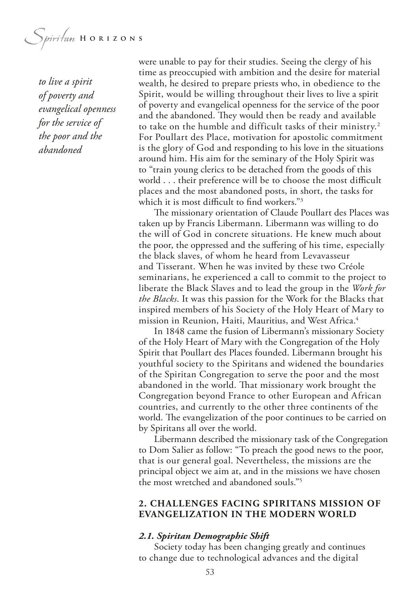*Spiritum* HORIZONS

*to live a spirit of poverty and evangelical openness for the service of the poor and the abandoned*

were unable to pay for their studies. Seeing the clergy of his time as preoccupied with ambition and the desire for material wealth, he desired to prepare priests who, in obedience to the Spirit, would be willing throughout their lives to live a spirit of poverty and evangelical openness for the service of the poor and the abandoned. They would then be ready and available to take on the humble and difficult tasks of their ministry.<sup>2</sup> For Poullart des Place, motivation for apostolic commitment is the glory of God and responding to his love in the situations around him. His aim for the seminary of the Holy Spirit was to "train young clerics to be detached from the goods of this world . . . their preference will be to choose the most difficult places and the most abandoned posts, in short, the tasks for which it is most difficult to find workers."<sup>3</sup>

The missionary orientation of Claude Poullart des Places was taken up by Francis Libermann. Libermann was willing to do the will of God in concrete situations. He knew much about the poor, the oppressed and the sufering of his time, especially the black slaves, of whom he heard from Levavasseur and Tisserant. When he was invited by these two Créole seminarians, he experienced a call to commit to the project to liberate the Black Slaves and to lead the group in the *Work for the Blacks*. It was this passion for the Work for the Blacks that inspired members of his Society of the Holy Heart of Mary to mission in Reunion, Haiti, Mauritius, and West Africa.4

In 1848 came the fusion of Libermann's missionary Society of the Holy Heart of Mary with the Congregation of the Holy Spirit that Poullart des Places founded. Libermann brought his youthful society to the Spiritans and widened the boundaries of the Spiritan Congregation to serve the poor and the most abandoned in the world. That missionary work brought the Congregation beyond France to other European and African countries, and currently to the other three continents of the world. The evangelization of the poor continues to be carried on by Spiritans all over the world.

Libermann described the missionary task of the Congregation to Dom Salier as follow: "To preach the good news to the poor, that is our general goal. Nevertheless, the missions are the principal object we aim at, and in the missions we have chosen the most wretched and abandoned souls."5

## **2. CHALLENGES FACING SPIRITANS MISSION OF EVANGELIZATION IN THE MODERN WORLD**

#### *2.1. Spiritan Demographic Shift*

Society today has been changing greatly and continues to change due to technological advances and the digital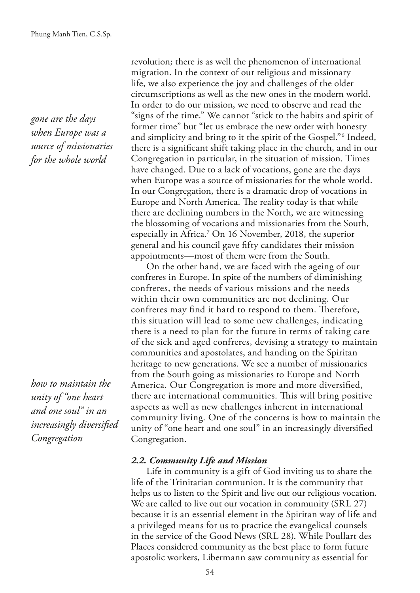*gone are the days when Europe was a source of missionaries for the whole world*

*how to maintain the unity of "one heart and one soul" in an increasingly diversifed Congregation*

revolution; there is as well the phenomenon of international migration. In the context of our religious and missionary life, we also experience the joy and challenges of the older circumscriptions as well as the new ones in the modern world. In order to do our mission, we need to observe and read the "signs of the time." We cannot "stick to the habits and spirit of former time" but "let us embrace the new order with honesty and simplicity and bring to it the spirit of the Gospel."6 Indeed, there is a signifcant shift taking place in the church, and in our Congregation in particular, in the situation of mission. Times have changed. Due to a lack of vocations, gone are the days when Europe was a source of missionaries for the whole world. In our Congregation, there is a dramatic drop of vocations in Europe and North America. The reality today is that while there are declining numbers in the North, we are witnessing the blossoming of vocations and missionaries from the South, especially in Africa.7 On 16 November, 2018, the superior general and his council gave ffty candidates their mission appointments—most of them were from the South.

On the other hand, we are faced with the ageing of our confreres in Europe. In spite of the numbers of diminishing confreres, the needs of various missions and the needs within their own communities are not declining. Our confreres may find it hard to respond to them. Therefore, this situation will lead to some new challenges, indicating there is a need to plan for the future in terms of taking care of the sick and aged confreres, devising a strategy to maintain communities and apostolates, and handing on the Spiritan heritage to new generations. We see a number of missionaries from the South going as missionaries to Europe and North America. Our Congregation is more and more diversifed, there are international communities. This will bring positive aspects as well as new challenges inherent in international community living. One of the concerns is how to maintain the unity of "one heart and one soul" in an increasingly diversifed Congregation.

#### *2.2. Community Life and Mission*

Life in community is a gift of God inviting us to share the life of the Trinitarian communion. It is the community that helps us to listen to the Spirit and live out our religious vocation. We are called to live out our vocation in community (SRL 27) because it is an essential element in the Spiritan way of life and a privileged means for us to practice the evangelical counsels in the service of the Good News (SRL 28). While Poullart des Places considered community as the best place to form future apostolic workers, Libermann saw community as essential for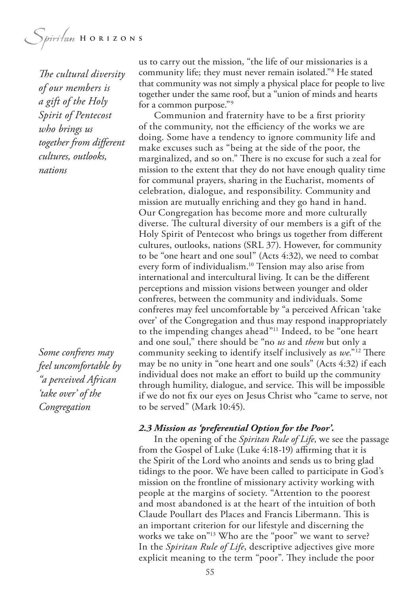Spiritan HORIZONS

*The cultural diversity of our members is a gift of the Holy Spirit of Pentecost who brings us together from diferent cultures, outlooks, nations*

*Some confreres may feel uncomfortable by "a perceived African 'take over' of the Congregation*

us to carry out the mission, "the life of our missionaries is a community life; they must never remain isolated."8 He stated that community was not simply a physical place for people to live together under the same roof, but a "union of minds and hearts for a common purpose."9

Communion and fraternity have to be a frst priority of the community, not the efficiency of the works we are doing. Some have a tendency to ignore community life and make excuses such as "being at the side of the poor, the marginalized, and so on." There is no excuse for such a zeal for mission to the extent that they do not have enough quality time for communal prayers, sharing in the Eucharist, moments of celebration, dialogue, and responsibility. Community and mission are mutually enriching and they go hand in hand. Our Congregation has become more and more culturally diverse. The cultural diversity of our members is a gift of the Holy Spirit of Pentecost who brings us together from diferent cultures, outlooks, nations (SRL 37). However, for community to be "one heart and one soul" (Acts 4:32), we need to combat every form of individualism.<sup>10</sup> Tension may also arise from international and intercultural living. It can be the diferent perceptions and mission visions between younger and older confreres, between the community and individuals. Some confreres may feel uncomfortable by "a perceived African 'take over' of the Congregation and thus may respond inappropriately to the impending changes ahead"11 Indeed, to be "one heart and one soul," there should be "no *us* and *them* but only a community seeking to identify itself inclusively as we."<sup>12</sup> There may be no unity in "one heart and one souls" (Acts 4:32) if each individual does not make an efort to build up the community through humility, dialogue, and service. This will be impossible if we do not fx our eyes on Jesus Christ who "came to serve, not to be served" (Mark 10:45).

#### *2.3 Mission as 'preferential Option for the Poor'.*

In the opening of the *Spiritan Rule of Life*, we see the passage from the Gospel of Luke (Luke 4:18-19) affirming that it is the Spirit of the Lord who anoints and sends us to bring glad tidings to the poor. We have been called to participate in God's mission on the frontline of missionary activity working with people at the margins of society. "Attention to the poorest and most abandoned is at the heart of the intuition of both Claude Poullart des Places and Francis Libermann. This is an important criterion for our lifestyle and discerning the works we take on"<sup>13</sup> Who are the "poor" we want to serve? In the *Spiritan Rule of Life*, descriptive adjectives give more explicit meaning to the term "poor". They include the poor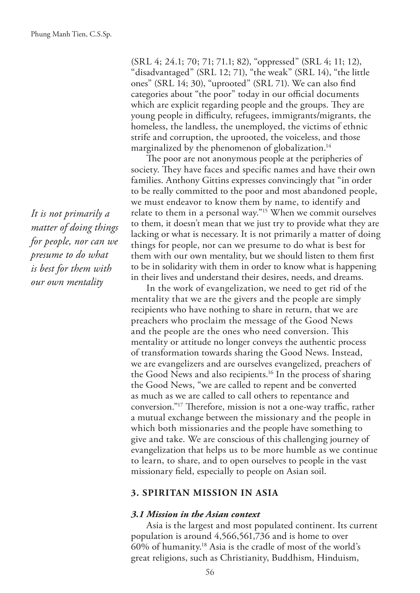*It is not primarily a matter of doing things for people, nor can we presume to do what is best for them with our own mentality*

(SRL 4; 24.1; 70; 71; 71.1; 82), "oppressed" (SRL 4; 11; 12), "disadvantaged" (SRL 12; 71), "the weak" (SRL 14), "the little ones" (SRL 14; 30), "uprooted" (SRL 71). We can also fnd categories about "the poor" today in our official documents which are explicit regarding people and the groups. They are young people in difficulty, refugees, immigrants/migrants, the homeless, the landless, the unemployed, the victims of ethnic strife and corruption, the uprooted, the voiceless, and those marginalized by the phenomenon of globalization.<sup>14</sup>

The poor are not anonymous people at the peripheries of society. They have faces and specific names and have their own families. Anthony Gittins expresses convincingly that "in order to be really committed to the poor and most abandoned people, we must endeavor to know them by name, to identify and relate to them in a personal way."15 When we commit ourselves to them, it doesn't mean that we just try to provide what they are lacking or what is necessary. It is not primarily a matter of doing things for people, nor can we presume to do what is best for them with our own mentality, but we should listen to them frst to be in solidarity with them in order to know what is happening in their lives and understand their desires, needs, and dreams.

In the work of evangelization, we need to get rid of the mentality that we are the givers and the people are simply recipients who have nothing to share in return, that we are preachers who proclaim the message of the Good News and the people are the ones who need conversion. This mentality or attitude no longer conveys the authentic process of transformation towards sharing the Good News. Instead, we are evangelizers and are ourselves evangelized, preachers of the Good News and also recipients.<sup>16</sup> In the process of sharing the Good News, "we are called to repent and be converted as much as we are called to call others to repentance and conversion."<sup>17</sup> Therefore, mission is not a one-way traffic, rather a mutual exchange between the missionary and the people in which both missionaries and the people have something to give and take. We are conscious of this challenging journey of evangelization that helps us to be more humble as we continue to learn, to share, and to open ourselves to people in the vast missionary feld, especially to people on Asian soil.

## **3. SPIRITAN MISSION IN ASIA**

#### *3.1 Mission in the Asian context*

Asia is the largest and most populated continent. Its current population is around 4,566,561,736 and is home to over 60% of humanity.18 Asia is the cradle of most of the world's great religions, such as Christianity, Buddhism, Hinduism,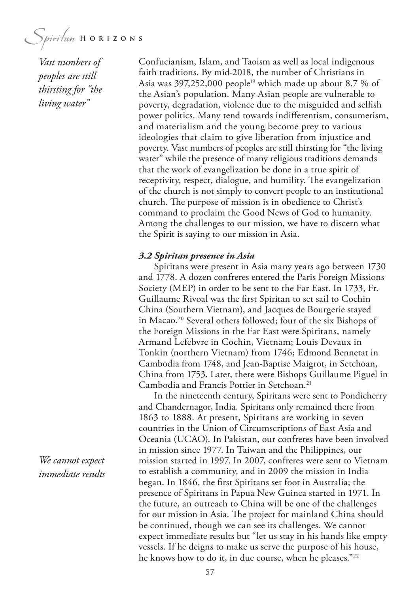*Vast numbers of peoples are still thirsting for "the living water"*

Confucianism, Islam, and Taoism as well as local indigenous faith traditions. By mid-2018, the number of Christians in Asia was 397,252,000 people<sup>19</sup> which made up about 8.7 % of the Asian's population. Many Asian people are vulnerable to poverty, degradation, violence due to the misguided and selfsh power politics. Many tend towards indiferentism, consumerism, and materialism and the young become prey to various ideologies that claim to give liberation from injustice and poverty. Vast numbers of peoples are still thirsting for "the living water" while the presence of many religious traditions demands that the work of evangelization be done in a true spirit of receptivity, respect, dialogue, and humility. The evangelization of the church is not simply to convert people to an institutional church. The purpose of mission is in obedience to Christ's command to proclaim the Good News of God to humanity. Among the challenges to our mission, we have to discern what the Spirit is saying to our mission in Asia.

#### *3.2 Spiritan presence in Asia*

Spiritans were present in Asia many years ago between 1730 and 1778. A dozen confreres entered the Paris Foreign Missions Society (MEP) in order to be sent to the Far East. In 1733, Fr. Guillaume Rivoal was the frst Spiritan to set sail to Cochin China (Southern Vietnam), and Jacques de Bourgerie stayed in Macao.20 Several others followed; four of the six Bishops of the Foreign Missions in the Far East were Spiritans, namely Armand Lefebvre in Cochin, Vietnam; Louis Devaux in Tonkin (northern Vietnam) from 1746; Edmond Bennetat in Cambodia from 1748, and Jean-Baptise Maigrot, in Setchoan, China from 1753. Later, there were Bishops Guillaume Piguel in Cambodia and Francis Pottier in Setchoan.21

In the nineteenth century, Spiritans were sent to Pondicherry and Chandernagor, India. Spiritans only remained there from 1863 to 1888. At present, Spiritans are working in seven countries in the Union of Circumscriptions of East Asia and Oceania (UCAO). In Pakistan, our confreres have been involved in mission since 1977. In Taiwan and the Philippines, our mission started in 1997. In 2007, confreres were sent to Vietnam to establish a community, and in 2009 the mission in India began. In 1846, the frst Spiritans set foot in Australia; the presence of Spiritans in Papua New Guinea started in 1971. In the future, an outreach to China will be one of the challenges for our mission in Asia. The project for mainland China should be continued, though we can see its challenges. We cannot expect immediate results but "let us stay in his hands like empty vessels. If he deigns to make us serve the purpose of his house, he knows how to do it, in due course, when he pleases."22

*We cannot expect immediate results*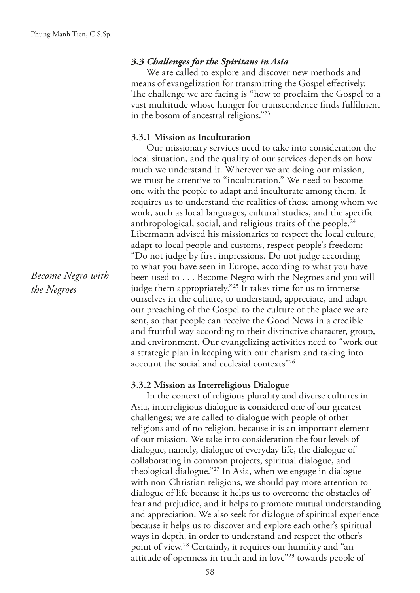## *3.3 Challenges for the Spiritans in Asia*

We are called to explore and discover new methods and means of evangelization for transmitting the Gospel effectively. The challenge we are facing is "how to proclaim the Gospel to a vast multitude whose hunger for transcendence fnds fulflment in the bosom of ancestral religions."23

#### **3.3.1 Mission as Inculturation**

Our missionary services need to take into consideration the local situation, and the quality of our services depends on how much we understand it. Wherever we are doing our mission, we must be attentive to "inculturation." We need to become one with the people to adapt and inculturate among them. It requires us to understand the realities of those among whom we work, such as local languages, cultural studies, and the specifc anthropological, social, and religious traits of the people.24 Libermann advised his missionaries to respect the local culture, adapt to local people and customs, respect people's freedom: "Do not judge by frst impressions. Do not judge according to what you have seen in Europe, according to what you have been used to . . . Become Negro with the Negroes and you will judge them appropriately."<sup>25</sup> It takes time for us to immerse ourselves in the culture, to understand, appreciate, and adapt our preaching of the Gospel to the culture of the place we are sent, so that people can receive the Good News in a credible and fruitful way according to their distinctive character, group, and environment. Our evangelizing activities need to "work out a strategic plan in keeping with our charism and taking into account the social and ecclesial contexts"26

#### **3.3.2 Mission as Interreligious Dialogue**

In the context of religious plurality and diverse cultures in Asia, interreligious dialogue is considered one of our greatest challenges; we are called to dialogue with people of other religions and of no religion, because it is an important element of our mission. We take into consideration the four levels of dialogue, namely, dialogue of everyday life, the dialogue of collaborating in common projects, spiritual dialogue, and theological dialogue."27 In Asia, when we engage in dialogue with non-Christian religions, we should pay more attention to dialogue of life because it helps us to overcome the obstacles of fear and prejudice, and it helps to promote mutual understanding and appreciation. We also seek for dialogue of spiritual experience because it helps us to discover and explore each other's spiritual ways in depth, in order to understand and respect the other's point of view.28 Certainly, it requires our humility and "an attitude of openness in truth and in love"29 towards people of

*Become Negro with the Negroes*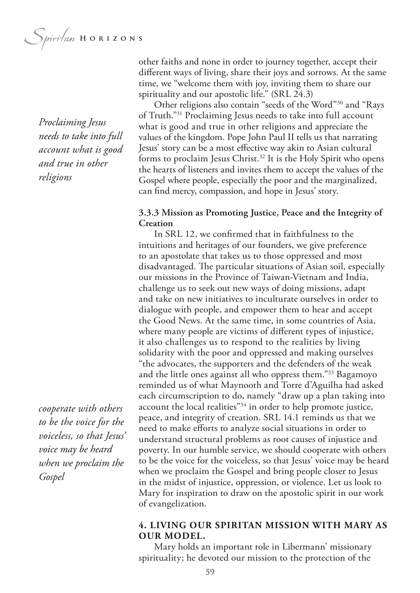*Proclaiming Jesus needs to take into full account what is good and true in other religions*

*cooperate with others to be the voice for the voiceless, so that Jesus' voice may be heard when we proclaim the Gospel*

other faiths and none in order to journey together, accept their diferent ways of living, share their joys and sorrows. At the same time, we "welcome them with joy, inviting them to share our spirituality and our apostolic life." (SRL 24.3)

Other religions also contain "seeds of the Word"30 and "Rays of Truth."31 Proclaiming Jesus needs to take into full account what is good and true in other religions and appreciate the values of the kingdom. Pope John Paul II tells us that narrating Jesus' story can be a most efective way akin to Asian cultural forms to proclaim Jesus Christ.<sup>32</sup> It is the Holy Spirit who opens the hearts of listeners and invites them to accept the values of the Gospel where people, especially the poor and the marginalized, can fnd mercy, compassion, and hope in Jesus' story.

## **3.3.3 Mission as Promoting Justice, Peace and the Integrity of Creation**

In SRL 12, we confrmed that in faithfulness to the intuitions and heritages of our founders, we give preference to an apostolate that takes us to those oppressed and most disadvantaged. The particular situations of Asian soil, especially our missions in the Province of Taiwan-Vietnam and India, challenge us to seek out new ways of doing missions, adapt and take on new initiatives to inculturate ourselves in order to dialogue with people, and empower them to hear and accept the Good News. At the same time, in some countries of Asia, where many people are victims of diferent types of injustice, it also challenges us to respond to the realities by living solidarity with the poor and oppressed and making ourselves "the advocates, the supporters and the defenders of the weak and the little ones against all who oppress them."33 Bagamoyo reminded us of what Maynooth and Torre d'Aguilha had asked each circumscription to do, namely "draw up a plan taking into account the local realities"<sup>34</sup> in order to help promote justice, peace, and integrity of creation. SRL 14.1 reminds us that we need to make efforts to analyze social situations in order to understand structural problems as root causes of injustice and poverty. In our humble service, we should cooperate with others to be the voice for the voiceless, so that Jesus' voice may be heard when we proclaim the Gospel and bring people closer to Jesus in the midst of injustice, oppression, or violence. Let us look to Mary for inspiration to draw on the apostolic spirit in our work of evangelization.

## **4. LIVING OUR SPIRITAN MISSION WITH MARY AS OUR MODEL.**

Mary holds an important role in Libermann' missionary spirituality; he devoted our mission to the protection of the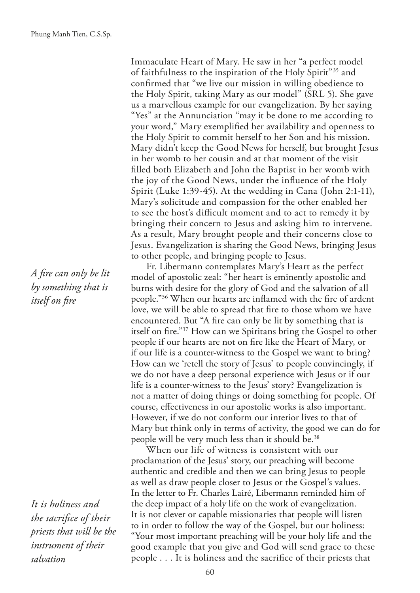*A fre can only be lit by something that is itself on fre*

*It is holiness and the sacrifce of their priests that will be the instrument of their salvation*

Immaculate Heart of Mary. He saw in her "a perfect model of faithfulness to the inspiration of the Holy Spirit"35 and confrmed that "we live our mission in willing obedience to the Holy Spirit, taking Mary as our model" (SRL 5). She gave us a marvellous example for our evangelization. By her saying "Yes" at the Annunciation "may it be done to me according to your word," Mary exemplifed her availability and openness to the Holy Spirit to commit herself to her Son and his mission. Mary didn't keep the Good News for herself, but brought Jesus in her womb to her cousin and at that moment of the visit flled both Elizabeth and John the Baptist in her womb with the joy of the Good News, under the infuence of the Holy Spirit (Luke 1:39-45). At the wedding in Cana (John 2:1-11), Mary's solicitude and compassion for the other enabled her to see the host's difficult moment and to act to remedy it by bringing their concern to Jesus and asking him to intervene. As a result, Mary brought people and their concerns close to Jesus. Evangelization is sharing the Good News, bringing Jesus to other people, and bringing people to Jesus.

Fr. Libermann contemplates Mary's Heart as the perfect model of apostolic zeal: "her heart is eminently apostolic and burns with desire for the glory of God and the salvation of all people."36 When our hearts are infamed with the fre of ardent love, we will be able to spread that fre to those whom we have encountered. But "A fre can only be lit by something that is itself on fre."37 How can we Spiritans bring the Gospel to other people if our hearts are not on fre like the Heart of Mary, or if our life is a counter-witness to the Gospel we want to bring? How can we 'retell the story of Jesus' to people convincingly, if we do not have a deep personal experience with Jesus or if our life is a counter-witness to the Jesus' story? Evangelization is not a matter of doing things or doing something for people. Of course, efectiveness in our apostolic works is also important. However, if we do not conform our interior lives to that of Mary but think only in terms of activity, the good we can do for people will be very much less than it should be.38

When our life of witness is consistent with our proclamation of the Jesus' story, our preaching will become authentic and credible and then we can bring Jesus to people as well as draw people closer to Jesus or the Gospel's values. In the letter to Fr. Charles Lairé, Libermann reminded him of the deep impact of a holy life on the work of evangelization. It is not clever or capable missionaries that people will listen to in order to follow the way of the Gospel, but our holiness: "Your most important preaching will be your holy life and the good example that you give and God will send grace to these people . . . It is holiness and the sacrifce of their priests that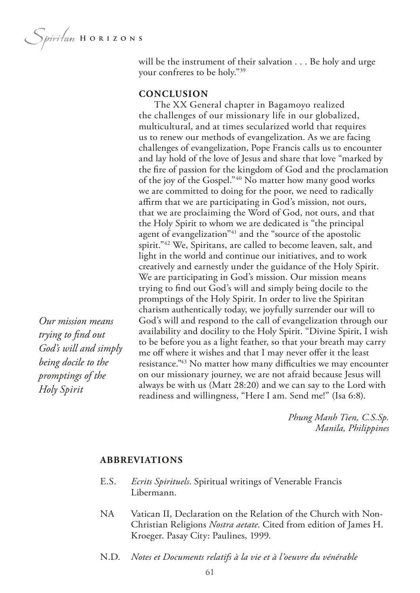*Our mission means trying to fnd out God's will and simply being docile to the promptings of the* 

*Holy Spirit*

will be the instrument of their salvation . . . Be holy and urge your confreres to be holy."39

## **CONCLUSION**

The XX General chapter in Bagamoyo realized the challenges of our missionary life in our globalized, multicultural, and at times secularized world that requires us to renew our methods of evangelization. As we are facing challenges of evangelization, Pope Francis calls us to encounter and lay hold of the love of Jesus and share that love "marked by the fre of passion for the kingdom of God and the proclamation of the joy of the Gospel."40 No matter how many good works we are committed to doing for the poor, we need to radically affirm that we are participating in God's mission, not ours, that we are proclaiming the Word of God, not ours, and that the Holy Spirit to whom we are dedicated is "the principal agent of evangelization<sup>"41</sup> and the "source of the apostolic spirit."<sup>42</sup> We, Spiritans, are called to become leaven, salt, and light in the world and continue our initiatives, and to work creatively and earnestly under the guidance of the Holy Spirit. We are participating in God's mission. Our mission means trying to fnd out God's will and simply being docile to the promptings of the Holy Spirit. In order to live the Spiritan charism authentically today, we joyfully surrender our will to God's will and respond to the call of evangelization through our availability and docility to the Holy Spirit. "Divine Spirit, I wish to be before you as a light feather, so that your breath may carry me off where it wishes and that I may never offer it the least resistance."<sup>43</sup> No matter how many difficulties we may encounter on our missionary journey, we are not afraid because Jesus will always be with us (Matt 28:20) and we can say to the Lord with readiness and willingness, "Here I am. Send me!" (Isa 6:8).

> *Phung Manh Tien, C.S.Sp. Manila, Philippines*

#### **ABBREVIATIONS**

- E.S. *Ecrits Spirituels*. Spiritual writings of Venerable Francis Libermann.
- NA Vatican II, Declaration on the Relation of the Church with Non-Christian Religions *Nostra aetate*. Cited from edition of James H. Kroeger. Pasay City: Paulines, 1999.
- N.D. *Notes et Documents relatifs à la vie et à l'oeuvre du vénérable*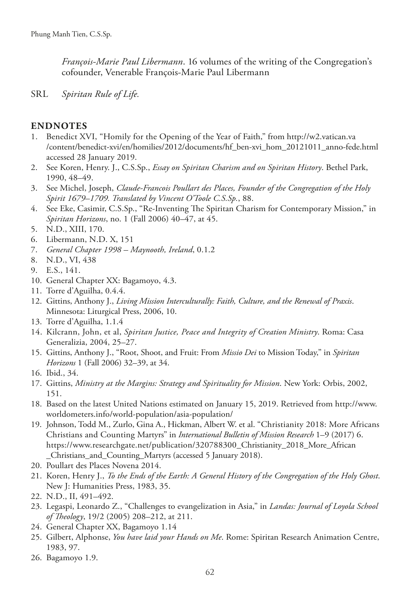*François-Marie Paul Libermann*. 16 volumes of the writing of the Congregation's cofounder, Venerable François-Marie Paul Libermann

SRL *Spiritan Rule of Life.*

## **ENDNOTES**

- 1. Benedict XVI, "Homily for the Opening of the Year of Faith," from http://w2.vatican.va /content/benedict-xvi/en/homilies/2012/documents/hf\_ben-xvi\_hom\_20121011\_anno-fede.html accessed 28 January 2019.
- 2. See Koren, Henry. J., C.S.Sp., *Essay on Spiritan Charism and on Spiritan History*. Bethel Park, 1990, 48–49.
- 3. See Michel, Joseph, *Claude-Francois Poullart des Places, Founder of the Congregation of the Holy Spirit 1679–1709. Translated by Vincent O'Toole C.S.Sp.*, 88.
- 4. See Eke, Casimir, C.S.Sp., "Re-Inventing The Spiritan Charism for Contemporary Mission," in *Spiritan Horizons*, no. 1 (Fall 2006) 40–47, at 45.
- 5. N.D., XIII, 170.
- 6. Libermann, N.D. X, 151
- 7. *General Chapter 1998 Maynooth, Ireland*, 0.1.2
- 8. N.D., VI, 438
- 9. E.S., 141.
- 10. General Chapter XX: Bagamoyo, 4.3.
- 11. Torre d'Aguilha, 0.4.4.
- 12. Gittins, Anthony J., *Living Mission Interculturally: Faith, Culture, and the Renewal of Praxis*. Minnesota: Liturgical Press, 2006, 10.
- 13. Torre d'Aguilha, 1.1.4
- 14. Kilcrann, John, et al, *Spiritan Justice, Peace and Integrity of Creation Ministry*. Roma: Casa Generalizia, 2004, 25–27.
- 15. Gittins, Anthony J., "Root, Shoot, and Fruit: From *Missio Dei* to Mission Today," in *Spiritan Horizons* 1 (Fall 2006) 32–39, at 34.
- 16. Ibid., 34.
- 17. Gittins, *Ministry at the Margins: Strategy and Spirituality for Mission*. New York: Orbis, 2002, 151.
- 18. Based on the latest United Nations estimated on January 15, 2019. Retrieved from http://www. worldometers.info/world-population/asia-population/
- 19. Johnson, Todd M., Zurlo, Gina A., Hickman, Albert W. et al. "Christianity 2018: More Africans Christians and Counting Martyrs" in *International Bulletin of Mission Research* 1–9 (2017) 6. https://www.researchgate.net/publication/320788300\_Christianity\_2018\_More\_African \_Christians\_and\_Counting\_Martyrs (accessed 5 January 2018).
- 20. Poullart des Places Novena 2014.
- 21. Koren, Henry J., *To the Ends of the Earth: A General History of the Congregation of the Holy Ghost*. New J: Humanities Press, 1983, 35.
- 22. N.D., II, 491–492.
- 23. Legaspi, Leonardo Z., "Challenges to evangelization in Asia," in *Landas: Journal of Loyola School of Teology*, 19/2 (2005) 208–212, at 211.
- 24. General Chapter XX, Bagamoyo 1.14
- 25. Gilbert, Alphonse, *You have laid your Hands on Me*. Rome: Spiritan Research Animation Centre, 1983, 97.
- 26. Bagamoyo 1.9.